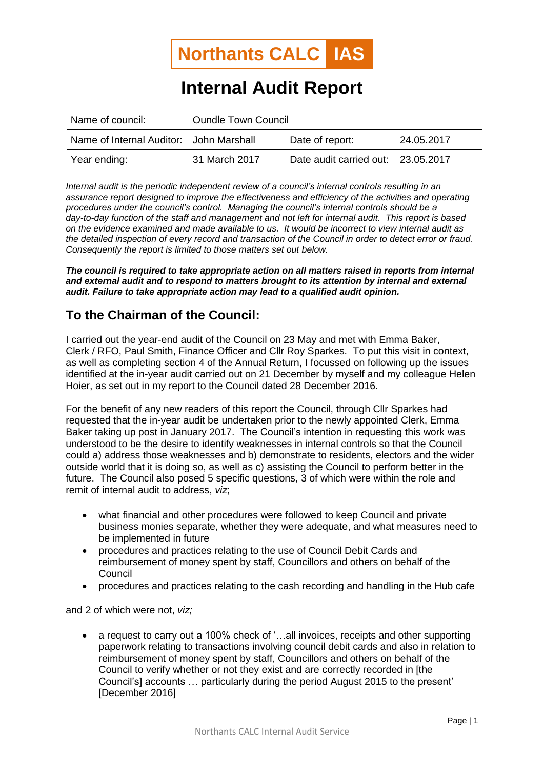

## **Internal Audit Report**

| Name of council:                        | <b>Oundle Town Council</b> |                                    |            |
|-----------------------------------------|----------------------------|------------------------------------|------------|
| Name of Internal Auditor: John Marshall |                            | Date of report:                    | 24.05.2017 |
| Year ending:                            | 31 March 2017              | Date audit carried out: 23.05.2017 |            |

*Internal audit is the periodic independent review of a council's internal controls resulting in an assurance report designed to improve the effectiveness and efficiency of the activities and operating procedures under the council's control. Managing the council's internal controls should be a day-to-day function of the staff and management and not left for internal audit. This report is based on the evidence examined and made available to us. It would be incorrect to view internal audit as the detailed inspection of every record and transaction of the Council in order to detect error or fraud. Consequently the report is limited to those matters set out below.*

*The council is required to take appropriate action on all matters raised in reports from internal*  and external audit and to respond to matters brought to its attention by internal and external *audit. Failure to take appropriate action may lead to a qualified audit opinion.*

## **To the Chairman of the Council:**

I carried out the year-end audit of the Council on 23 May and met with Emma Baker, Clerk / RFO, Paul Smith, Finance Officer and Cllr Roy Sparkes. To put this visit in context, as well as completing section 4 of the Annual Return, I focussed on following up the issues identified at the in-year audit carried out on 21 December by myself and my colleague Helen Hoier, as set out in my report to the Council dated 28 December 2016.

For the benefit of any new readers of this report the Council, through Cllr Sparkes had requested that the in-year audit be undertaken prior to the newly appointed Clerk, Emma Baker taking up post in January 2017. The Council's intention in requesting this work was understood to be the desire to identify weaknesses in internal controls so that the Council could a) address those weaknesses and b) demonstrate to residents, electors and the wider outside world that it is doing so, as well as c) assisting the Council to perform better in the future. The Council also posed 5 specific questions, 3 of which were within the role and remit of internal audit to address, *viz*;

- what financial and other procedures were followed to keep Council and private business monies separate, whether they were adequate, and what measures need to be implemented in future
- procedures and practices relating to the use of Council Debit Cards and reimbursement of money spent by staff, Councillors and others on behalf of the Council
- procedures and practices relating to the cash recording and handling in the Hub cafe

and 2 of which were not, *viz;*

• a request to carry out a 100% check of '...all invoices, receipts and other supporting paperwork relating to transactions involving council debit cards and also in relation to reimbursement of money spent by staff, Councillors and others on behalf of the Council to verify whether or not they exist and are correctly recorded in [the Council's] accounts … particularly during the period August 2015 to the present' [December 2016]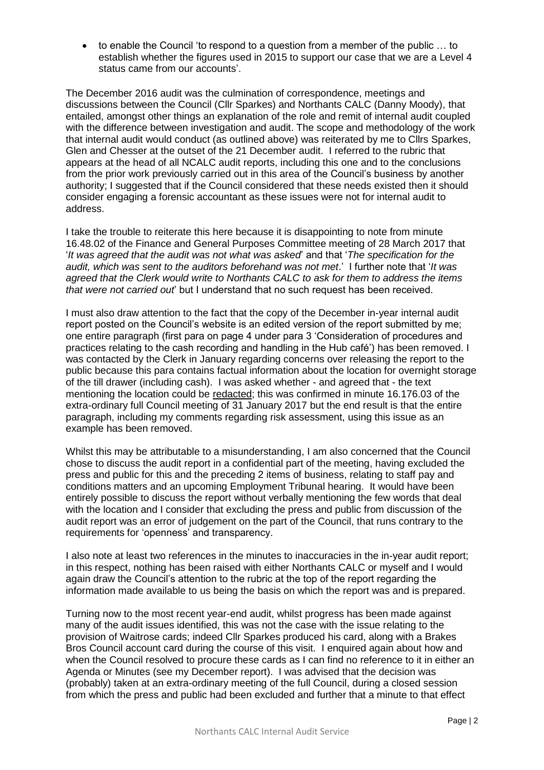• to enable the Council 'to respond to a question from a member of the public … to establish whether the figures used in 2015 to support our case that we are a Level 4 status came from our accounts'.

The December 2016 audit was the culmination of correspondence, meetings and discussions between the Council (Cllr Sparkes) and Northants CALC (Danny Moody), that entailed, amongst other things an explanation of the role and remit of internal audit coupled with the difference between investigation and audit. The scope and methodology of the work that internal audit would conduct (as outlined above) was reiterated by me to Cllrs Sparkes, Glen and Chesser at the outset of the 21 December audit. I referred to the rubric that appears at the head of all NCALC audit reports, including this one and to the conclusions from the prior work previously carried out in this area of the Council's business by another authority; I suggested that if the Council considered that these needs existed then it should consider engaging a forensic accountant as these issues were not for internal audit to address.

I take the trouble to reiterate this here because it is disappointing to note from minute 16.48.02 of the Finance and General Purposes Committee meeting of 28 March 2017 that '*It was agreed that the audit was not what was asked*' and that '*The specification for the audit, which was sent to the auditors beforehand was not met*.' I further note that '*It was agreed that the Clerk would write to Northants CALC to ask for them to address the items that were not carried out*' but I understand that no such request has been received.

I must also draw attention to the fact that the copy of the December in-year internal audit report posted on the Council's website is an edited version of the report submitted by me; one entire paragraph (first para on page 4 under para 3 'Consideration of procedures and practices relating to the cash recording and handling in the Hub café') has been removed. I was contacted by the Clerk in January regarding concerns over releasing the report to the public because this para contains factual information about the location for overnight storage of the till drawer (including cash). I was asked whether - and agreed that - the text mentioning the location could be redacted; this was confirmed in minute 16.176.03 of the extra-ordinary full Council meeting of 31 January 2017 but the end result is that the entire paragraph, including my comments regarding risk assessment, using this issue as an example has been removed.

Whilst this may be attributable to a misunderstanding, I am also concerned that the Council chose to discuss the audit report in a confidential part of the meeting, having excluded the press and public for this and the preceding 2 items of business, relating to staff pay and conditions matters and an upcoming Employment Tribunal hearing. It would have been entirely possible to discuss the report without verbally mentioning the few words that deal with the location and I consider that excluding the press and public from discussion of the audit report was an error of judgement on the part of the Council, that runs contrary to the requirements for 'openness' and transparency.

I also note at least two references in the minutes to inaccuracies in the in-year audit report; in this respect, nothing has been raised with either Northants CALC or myself and I would again draw the Council's attention to the rubric at the top of the report regarding the information made available to us being the basis on which the report was and is prepared.

Turning now to the most recent year-end audit, whilst progress has been made against many of the audit issues identified, this was not the case with the issue relating to the provision of Waitrose cards; indeed Cllr Sparkes produced his card, along with a Brakes Bros Council account card during the course of this visit. I enquired again about how and when the Council resolved to procure these cards as I can find no reference to it in either an Agenda or Minutes (see my December report). I was advised that the decision was (probably) taken at an extra-ordinary meeting of the full Council, during a closed session from which the press and public had been excluded and further that a minute to that effect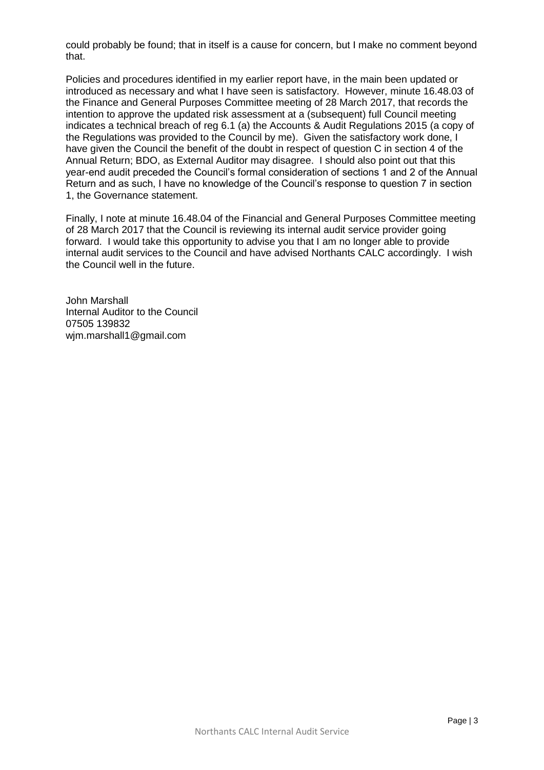could probably be found; that in itself is a cause for concern, but I make no comment beyond that.

Policies and procedures identified in my earlier report have, in the main been updated or introduced as necessary and what I have seen is satisfactory. However, minute 16.48.03 of the Finance and General Purposes Committee meeting of 28 March 2017, that records the intention to approve the updated risk assessment at a (subsequent) full Council meeting indicates a technical breach of reg 6.1 (a) the Accounts & Audit Regulations 2015 (a copy of the Regulations was provided to the Council by me). Given the satisfactory work done, I have given the Council the benefit of the doubt in respect of question C in section 4 of the Annual Return; BDO, as External Auditor may disagree. I should also point out that this year-end audit preceded the Council's formal consideration of sections 1 and 2 of the Annual Return and as such, I have no knowledge of the Council's response to question 7 in section 1, the Governance statement.

Finally, I note at minute 16.48.04 of the Financial and General Purposes Committee meeting of 28 March 2017 that the Council is reviewing its internal audit service provider going forward. I would take this opportunity to advise you that I am no longer able to provide internal audit services to the Council and have advised Northants CALC accordingly. I wish the Council well in the future.

John Marshall Internal Auditor to the Council 07505 139832 wjm.marshall1@gmail.com